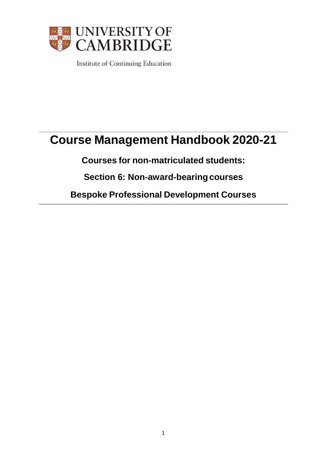

Institute of Continuing Education

# **Course Management Handbook 2020-21**

**Courses for non-matriculated students:**

**Section 6: Non-award-bearingcourses**

**Bespoke Professional Development Courses**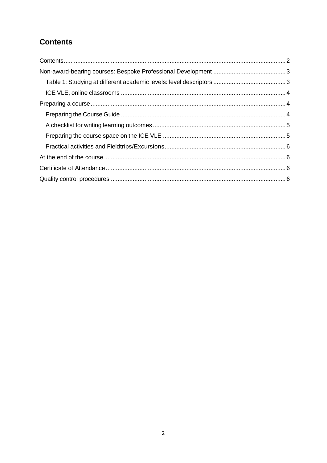## <span id="page-1-0"></span>**Contents**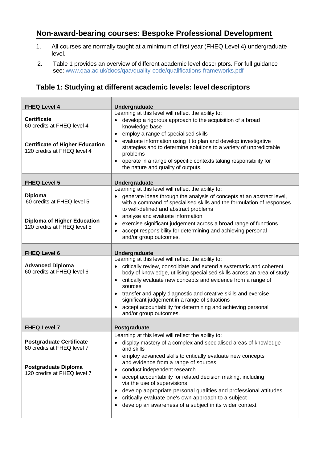## <span id="page-2-0"></span>**Non-award-bearing courses: Bespoke Professional Development**

- 1. All courses are normally taught at a minimum of first year (FHEQ Level 4) undergraduate level.
- 2. Table 1 provides an overview of different academic level descriptors. For full guidance see: [www.qaa.ac.uk/docs/qaa/quality-code/qualifications-frameworks.pdf](https://www.qaa.ac.uk/docs/qaa/quality-code/qualifications-frameworks.pdf)

#### <span id="page-2-1"></span>**Table 1: Studying at different academic levels: level descriptors**

| <b>FHEQ Level 4</b>                                                                                                         | Undergraduate                                                                                                                                                                                                                                                                                                                                                                                                                                                                                                |
|-----------------------------------------------------------------------------------------------------------------------------|--------------------------------------------------------------------------------------------------------------------------------------------------------------------------------------------------------------------------------------------------------------------------------------------------------------------------------------------------------------------------------------------------------------------------------------------------------------------------------------------------------------|
| <b>Certificate</b><br>60 credits at FHEQ level 4<br><b>Certificate of Higher Education</b><br>120 credits at FHEQ level 4   | Learning at this level will reflect the ability to:<br>develop a rigorous approach to the acquisition of a broad<br>knowledge base<br>employ a range of specialised skills<br>٠<br>evaluate information using it to plan and develop investigative<br>$\bullet$<br>strategies and to determine solutions to a variety of unpredictable<br>problems<br>operate in a range of specific contexts taking responsibility for<br>the nature and quality of outputs.                                                |
| <b>FHEQ Level 5</b>                                                                                                         | Undergraduate                                                                                                                                                                                                                                                                                                                                                                                                                                                                                                |
| <b>Diploma</b><br>60 credits at FHEQ level 5<br><b>Diploma of Higher Education</b><br>120 credits at FHEQ level 5           | Learning at this level will reflect the ability to:<br>generate ideas through the analysis of concepts at an abstract level,<br>with a command of specialised skills and the formulation of responses<br>to well-defined and abstract problems<br>analyse and evaluate information<br>٠<br>exercise significant judgement across a broad range of functions<br>$\bullet$                                                                                                                                     |
|                                                                                                                             | accept responsibility for determining and achieving personal<br>$\bullet$<br>and/or group outcomes.                                                                                                                                                                                                                                                                                                                                                                                                          |
| <b>FHEQ Level 6</b>                                                                                                         | Undergraduate                                                                                                                                                                                                                                                                                                                                                                                                                                                                                                |
| <b>Advanced Diploma</b><br>60 credits at FHEQ level 6                                                                       | Learning at this level will reflect the ability to:<br>critically review, consolidate and extend a systematic and coherent<br>body of knowledge, utilising specialised skills across an area of study<br>critically evaluate new concepts and evidence from a range of<br>$\bullet$<br>sources<br>transfer and apply diagnostic and creative skills and exercise<br>significant judgement in a range of situations<br>accept accountability for determining and achieving personal<br>and/or group outcomes. |
| <b>FHEQ Level 7</b>                                                                                                         | Postgraduate                                                                                                                                                                                                                                                                                                                                                                                                                                                                                                 |
| <b>Postgraduate Certificate</b><br>60 credits at FHEQ level 7<br><b>Postgraduate Diploma</b><br>120 credits at FHEQ level 7 | Learning at this level will reflect the ability to:<br>display mastery of a complex and specialised areas of knowledge<br>and skills<br>employ advanced skills to critically evaluate new concepts<br>٠<br>and evidence from a range of sources<br>conduct independent research                                                                                                                                                                                                                              |
|                                                                                                                             | accept accountability for related decision making, including<br>via the use of supervisions<br>develop appropriate personal qualities and professional attitudes<br>$\bullet$<br>critically evaluate one's own approach to a subject<br>$\bullet$<br>develop an awareness of a subject in its wider context<br>٠                                                                                                                                                                                             |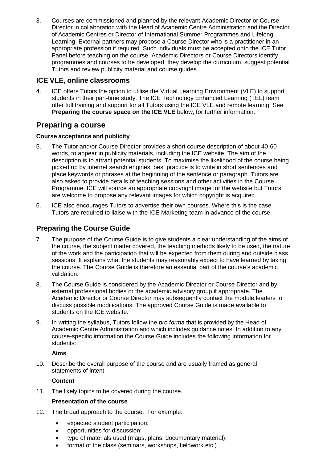3. Courses are commissioned and planned by the relevant Academic Director or Course Director in collaboration with the Head of Academic Centre Administration and the Director of Academic Centres or Director of International Summer Programmes and Lifelong Learning. External partners may propose a Course Director who is a practitioner in an appropriate profession if required. Such individuals must be accepted onto the ICE Tutor Panel before teaching on the course. Academic Directors or Course Directors identify programmes and courses to be developed, they develop the curriculum, suggest potential Tutors and review publicity material and course guides.

## <span id="page-3-0"></span>**ICE VLE, online classrooms**

4. ICE offers Tutors the option to utilise the Virtual Learning Environment (VLE) to support students in their part-time study. The ICE Technology Enhanced Learning (TEL) team offer full training and support for all Tutors using the ICE VLE and remote learning. See **Preparing [the course space on](#page-4-1) the ICE VLE** below, for further information.

## <span id="page-3-1"></span>**Preparing a course**

#### **Course acceptance and publicity**

- 5. The Tutor and/or Course Director provides a short course description of about 40-60 words, to appear in publicity materials, including the ICE website. The aim of the description is to attract potential students. To maximise the likelihood of the course being picked up by internet search engines, best practice is to write in short sentences and place keywords or phrases at the beginning of the sentence or paragraph. Tutors are also asked to provide details of teaching sessions and other activities in the Course Programme. ICE will source an appropriate copyright image for the website but Tutors are welcome to propose any relevant images for which copyright is acquired.
- 6. ICE also encourages Tutors to advertise their own courses. Where this is the case Tutors are required to liaise with the ICE Marketing team in advance of the course.

## <span id="page-3-2"></span>**Preparing the Course Guide**

- 7. The purpose of the Course Guide is to give students a clear understanding of the aims of the course, the subject matter covered, the teaching methods likely to be used, the nature of the work and the participation that will be expected from them during and outside class sessions. It explains what the students may reasonably expect to have learned by taking the course. The Course Guide is therefore an essential part of the course's academic validation.
- 8. The Course Guide is considered by the Academic Director or Course Director and by external professional bodies or the academic advisory group if appropriate. The Academic Director or Course Director may subsequently contact the module leaders to discuss possible modifications. The approved Course Guide is made available to students on the ICE website.
- 9. In writing the syllabus, Tutors follow the *pro forma* that is provided by the Head of Academic Centre Administration and which includes guidance notes. In addition to any course-specific information the Course Guide includes the following information for students:

#### **Aims**

10. Describe the overall purpose of the course and are usually framed as general statements of intent.

#### **Content**

11. The likely topics to be covered during the course.

#### **Presentation of the course**

- 12. The broad approach to the course. For example:
	- expected student participation;
	- opportunities for discussion;
	- type of materials used (maps, plans, documentary material);
	- format of the class (seminars, workshops, fieldwork etc.)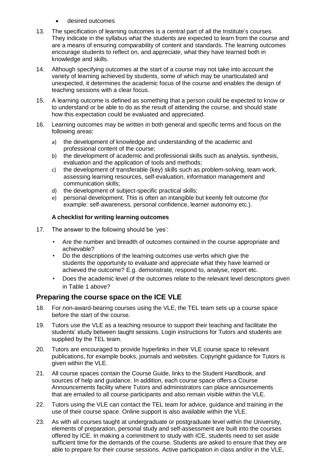- desired outcomes
- 13. The specification of learning outcomes is a central part of all the Institute's courses. They indicate in the syllabus what the students are expected to learn from the course and are a means of ensuring comparability of content and standards. The learning outcomes encourage students to reflect on, and appreciate, what they have learned both in knowledge and skills.
- 14. Although specifying outcomes at the start of a course may not take into account the variety of learning achieved by students, some of which may be unarticulated and unexpected, it determines the academic focus of the course and enables the design of teaching sessions with a clear focus.
- 15. A learning outcome is defined as something that a person could be expected to know or to understand or be able to do as the result of attending the course, and should state how this expectation could be evaluated and appreciated.
- 16. Learning outcomes may be written in both general and specific terms and focus on the following areas:
	- a) the development of knowledge and understanding of the academic and professional content of the course;
	- b) the development of academic and professional skills such as analysis, synthesis, evaluation and the application of tools and methods;
	- c) the development of transferable (key) skills such as problem-solving, team work, assessing learning resources, self-evaluation, information management and communication skills;
	- d) the development of subject-specific practical skills;
	- e) personal development. This is often an intangible but keenly felt outcome (for example: self-awareness, personal confidence, learner autonomy etc.).

#### **A checklist for writing learning outcomes**

- <span id="page-4-0"></span>17. The answer to the following should be 'yes':
	- Are the number and breadth of outcomes contained in the course appropriate and achievable?
	- Do the descriptions of the learning outcomes use verbs which give the students the opportunity to evaluate and appreciate what they have learned or achieved the outcome? E.g. demonstrate, respond to, analyse, report etc.
	- Does the academic level of the outcomes relate to the relevant level descriptors given in Table 1 above?

#### <span id="page-4-1"></span>**Preparing the course space on the ICE VLE**

- 18. For non-award-bearing courses using the VLE, the TEL team sets up a course space before the start of the course.
- 19. Tutors use the VLE as a teaching resource to support their teaching and facilitate the students' study between taught sessions. Login instructions for Tutors and students are supplied by the TEL team.
- 20. Tutors are encouraged to provide hyperlinks in their VLE course space to relevant publications, for example books, journals and websites. Copyright guidance for Tutors is given within the VLE.
- 21. All course spaces contain the Course Guide, links to the Student Handbook, and sources of help and guidance. In addition, each course space offers a Course Announcements facility where Tutors and administrators can place announcements that are emailed to all course participants and also remain visible within the VLE.
- 22. Tutors using the VLE can contact the TEL team for advice, guidance and training in the use of their course space. Online support is also available within the VLE.
- 23. As with all courses taught at undergraduate or postgraduate level within the University, elements of preparation, personal study and self-assessment are built into the courses offered by ICE. In making a commitment to study with ICE, students need to set aside sufficient time for the demands of the course. Students are asked to ensure that they are able to prepare for their course sessions. Active participation in class and/or in the VLE,